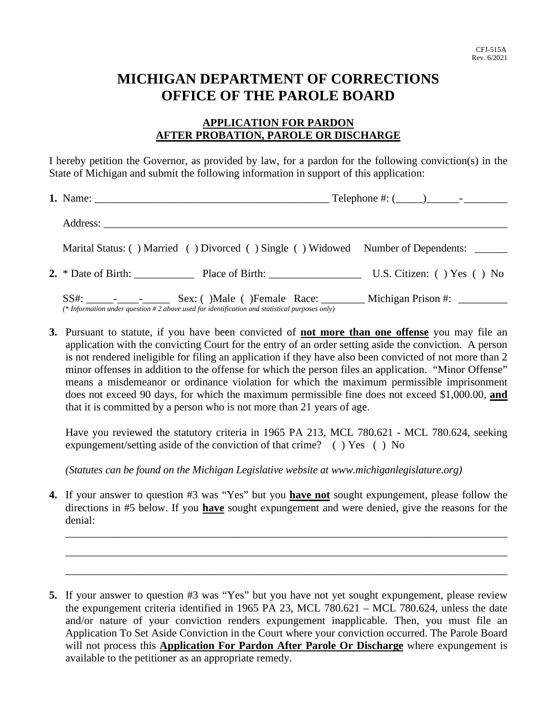## **MICHIGAN DEPARTMENT OF CORRECTIONS OFFICE OF THE PAROLE BOARD**

## **APPLICATION FOR PARDON AFTER PROBATION, PAROLE OR DISCHARGE**

I hereby petition the Governor, as provided by law, for a pardon for the following conviction(s) in the State of Michigan and submit the following information in support of this application:

|  | Marital Status: () Married () Divorced () Single () Widowed Number of Dependents: ______      |  |
|--|-----------------------------------------------------------------------------------------------|--|
|  | 2. * Date of Birth: Place of Birth: U.S. Citizen: () Yes () No                                |  |
|  | (* Information under question #2 above used for identification and statistical purposes only) |  |

**3.** Pursuant to statute, if you have been convicted of **not more than one offense** you may file an application with the convicting Court for the entry of an order setting aside the conviction. A person is not rendered ineligible for filing an application if they have also been convicted of not more than 2 minor offenses in addition to the offense for which the person files an application. "Minor Offense" means a misdemeanor or ordinance violation for which the maximum permissible imprisonment does not exceed 90 days, for which the maximum permissible fine does not exceed \$1,000.00, **and** that it is committed by a person who is not more than 21 years of age.

Have you reviewed the statutory criteria in 1965 PA 213, MCL 780.621 - MCL 780.624, seeking expungement/setting aside of the conviction of that crime? ( ) Yes ( ) No

*(Statutes can be found on the Michigan Legislative website at www.michiganlegislature.org)* 

**4.** If your answer to question #3 was "Yes" but you **have not** sought expungement, please follow the directions in #5 below. If you **have** sought expungement and were denied, give the reasons for the denial:

\_\_\_\_\_\_\_\_\_\_\_\_\_\_\_\_\_\_\_\_\_\_\_\_\_\_\_\_\_\_\_\_\_\_\_\_\_\_\_\_\_\_\_\_\_\_\_\_\_\_\_\_\_\_\_\_\_\_\_\_\_\_\_\_\_\_\_\_\_\_\_\_\_\_\_\_\_\_\_\_\_

\_\_\_\_\_\_\_\_\_\_\_\_\_\_\_\_\_\_\_\_\_\_\_\_\_\_\_\_\_\_\_\_\_\_\_\_\_\_\_\_\_\_\_\_\_\_\_\_\_\_\_\_\_\_\_\_\_\_\_\_\_\_\_\_\_\_\_\_\_\_\_\_\_\_\_\_\_\_\_\_\_

\_\_\_\_\_\_\_\_\_\_\_\_\_\_\_\_\_\_\_\_\_\_\_\_\_\_\_\_\_\_\_\_\_\_\_\_\_\_\_\_\_\_\_\_\_\_\_\_\_\_\_\_\_\_\_\_\_\_\_\_\_\_\_\_\_\_\_\_\_\_\_\_\_\_\_\_\_\_\_\_\_

**<sup>5.</sup>** If your answer to question #3 was "Yes" but you have not yet sought expungement, please review the expungement criteria identified in 1965 PA 23, MCL 780.621 – MCL 780.624, unless the date and/or nature of your conviction renders expungement inapplicable. Then, you must file an Application To Set Aside Conviction in the Court where your conviction occurred. The Parole Board will not process this **Application For Pardon After Parole Or Discharge** where expungement is available to the petitioner as an appropriate remedy.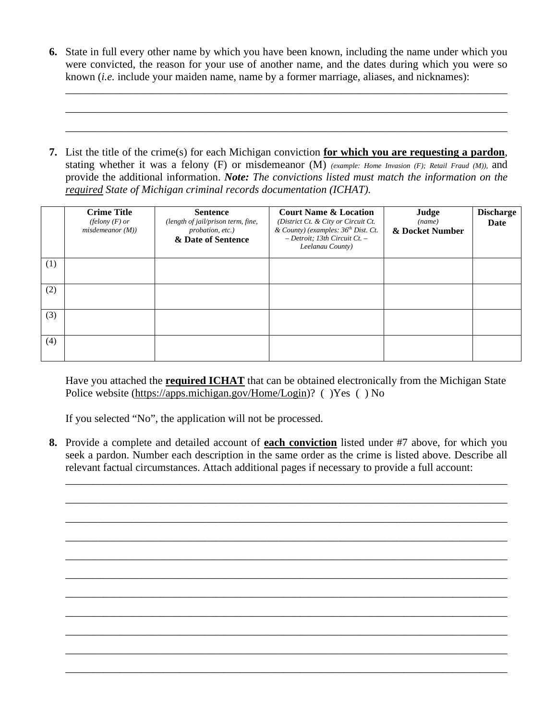**6.** State in full every other name by which you have been known, including the name under which you were convicted, the reason for your use of another name, and the dates during which you were so known (*i.e.* include your maiden name, name by a former marriage, aliases, and nicknames):

\_\_\_\_\_\_\_\_\_\_\_\_\_\_\_\_\_\_\_\_\_\_\_\_\_\_\_\_\_\_\_\_\_\_\_\_\_\_\_\_\_\_\_\_\_\_\_\_\_\_\_\_\_\_\_\_\_\_\_\_\_\_\_\_\_\_\_\_\_\_\_\_\_\_\_\_\_\_\_\_\_

\_\_\_\_\_\_\_\_\_\_\_\_\_\_\_\_\_\_\_\_\_\_\_\_\_\_\_\_\_\_\_\_\_\_\_\_\_\_\_\_\_\_\_\_\_\_\_\_\_\_\_\_\_\_\_\_\_\_\_\_\_\_\_\_\_\_\_\_\_\_\_\_\_\_\_\_\_\_\_\_\_

\_\_\_\_\_\_\_\_\_\_\_\_\_\_\_\_\_\_\_\_\_\_\_\_\_\_\_\_\_\_\_\_\_\_\_\_\_\_\_\_\_\_\_\_\_\_\_\_\_\_\_\_\_\_\_\_\_\_\_\_\_\_\_\_\_\_\_\_\_\_\_\_\_\_\_\_\_\_\_\_\_

**7.** List the title of the crime(s) for each Michigan conviction **for which you are requesting a pardon**, stating whether it was a felony (F) or misdemeanor (M) *(example: Home Invasion (F); Retail Fraud (M)),* and provide the additional information. *Note: The convictions listed must match the information on the required State of Michigan criminal records documentation (ICHAT).* 

|     | <b>Crime Title</b><br>(felony $(F)$ or<br>misdemeanor(M) | <b>Sentence</b><br>(length of jail/prison term, fine,<br>probation, etc.)<br>& Date of Sentence | <b>Court Name &amp; Location</b><br>(District Ct. & City or Circuit Ct.<br>& County) (examples: 36 <sup>th</sup> Dist. Ct.<br>$-$ Detroit; 13th Circuit Ct. $-$<br>Leelanau County) | Judge<br>(name)<br>& Docket Number | <b>Discharge</b><br>Date |
|-----|----------------------------------------------------------|-------------------------------------------------------------------------------------------------|-------------------------------------------------------------------------------------------------------------------------------------------------------------------------------------|------------------------------------|--------------------------|
| (1) |                                                          |                                                                                                 |                                                                                                                                                                                     |                                    |                          |
| (2) |                                                          |                                                                                                 |                                                                                                                                                                                     |                                    |                          |
| (3) |                                                          |                                                                                                 |                                                                                                                                                                                     |                                    |                          |
| (4) |                                                          |                                                                                                 |                                                                                                                                                                                     |                                    |                          |

Have you attached the **required ICHAT** that can be obtained electronically from the Michigan State Police website (https://apps.michigan.gov/Home/Login)? ( )Yes ( ) No

If you selected "No", the application will not be processed.

**8.** Provide a complete and detailed account of **each conviction** listed under #7 above, for which you seek a pardon. Number each description in the same order as the crime is listed above. Describe all relevant factual circumstances. Attach additional pages if necessary to provide a full account:

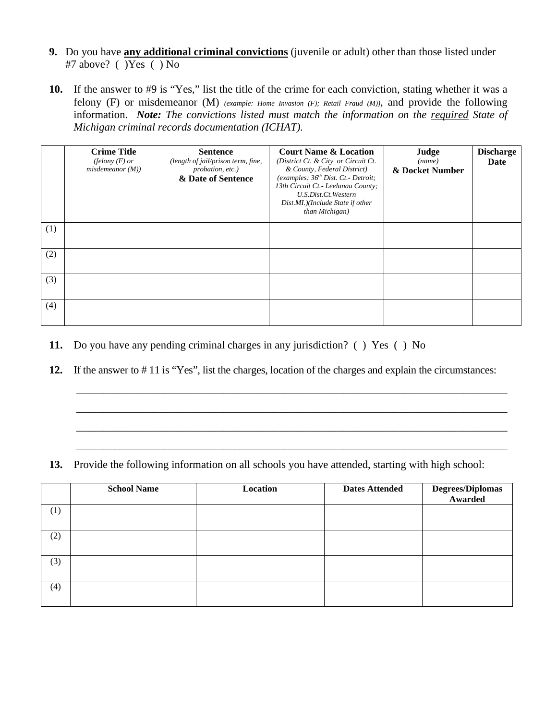- **9.** Do you have **any additional criminal convictions** (juvenile or adult) other than those listed under #7 above? ( )Yes ( ) No
- **10.** If the answer to #9 is "Yes," list the title of the crime for each conviction, stating whether it was a felony (F) or misdemeanor (M) *(example: Home Invasion (F); Retail Fraud (M))*, and provide the following information. *Note: The convictions listed must match the information on the required State of Michigan criminal records documentation (ICHAT).*

|     | <b>Crime Title</b><br>(felony $(F)$ or<br>misdemeanor(M)) | <b>Sentence</b><br>(length of jail/prison term, fine,<br>probation, etc.)<br>& Date of Sentence | <b>Court Name &amp; Location</b><br>(District Ct. & City or Circuit Ct.<br>& County, Federal District)<br>(examples: 36 <sup>th</sup> Dist. Ct. - Detroit;<br>13th Circuit Ct. - Leelanau County;<br>U.S.Dist.Ct.Western<br>Dist.MI.)(Include State if other<br>than Michigan) | Judge<br>(name)<br>& Docket Number | <b>Discharge</b><br>Date |
|-----|-----------------------------------------------------------|-------------------------------------------------------------------------------------------------|--------------------------------------------------------------------------------------------------------------------------------------------------------------------------------------------------------------------------------------------------------------------------------|------------------------------------|--------------------------|
| (1) |                                                           |                                                                                                 |                                                                                                                                                                                                                                                                                |                                    |                          |
| (2) |                                                           |                                                                                                 |                                                                                                                                                                                                                                                                                |                                    |                          |
| (3) |                                                           |                                                                                                 |                                                                                                                                                                                                                                                                                |                                    |                          |
| (4) |                                                           |                                                                                                 |                                                                                                                                                                                                                                                                                |                                    |                          |

- **11.** Do you have any pending criminal charges in any jurisdiction? ( ) Yes ( ) No
- **12.** If the answer to # 11 is "Yes", list the charges, location of the charges and explain the circumstances:

\_\_\_\_\_\_\_\_\_\_\_\_\_\_\_\_\_\_\_\_\_\_\_\_\_\_\_\_\_\_\_\_\_\_\_\_\_\_\_\_\_\_\_\_\_\_\_\_\_\_\_\_\_\_\_\_\_\_\_\_\_\_\_\_\_\_\_\_\_\_\_\_\_\_\_\_\_\_\_

\_\_\_\_\_\_\_\_\_\_\_\_\_\_\_\_\_\_\_\_\_\_\_\_\_\_\_\_\_\_\_\_\_\_\_\_\_\_\_\_\_\_\_\_\_\_\_\_\_\_\_\_\_\_\_\_\_\_\_\_\_\_\_\_\_\_\_\_\_\_\_\_\_\_\_\_\_\_\_

\_\_\_\_\_\_\_\_\_\_\_\_\_\_\_\_\_\_\_\_\_\_\_\_\_\_\_\_\_\_\_\_\_\_\_\_\_\_\_\_\_\_\_\_\_\_\_\_\_\_\_\_\_\_\_\_\_\_\_\_\_\_\_\_\_\_\_\_\_\_\_\_\_\_\_\_\_\_\_

\_\_\_\_\_\_\_\_\_\_\_\_\_\_\_\_\_\_\_\_\_\_\_\_\_\_\_\_\_\_\_\_\_\_\_\_\_\_\_\_\_\_\_\_\_\_\_\_\_\_\_\_\_\_\_\_\_\_\_\_\_\_\_\_\_\_\_\_\_\_\_\_\_\_\_\_\_\_\_

**13.** Provide the following information on all schools you have attended, starting with high school:

|     | <b>School Name</b> | Location | <b>Dates Attended</b> | <b>Degrees/Diplomas</b><br>Awarded |
|-----|--------------------|----------|-----------------------|------------------------------------|
| (1) |                    |          |                       |                                    |
| (2) |                    |          |                       |                                    |
| (3) |                    |          |                       |                                    |
| (4) |                    |          |                       |                                    |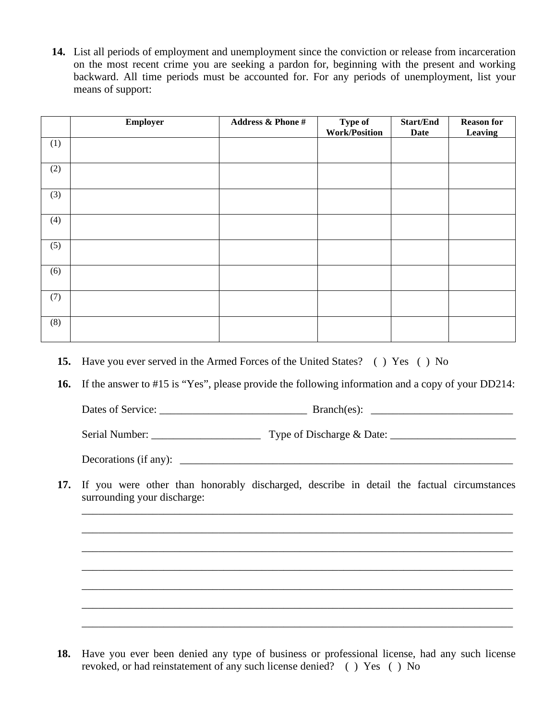**14.** List all periods of employment and unemployment since the conviction or release from incarceration on the most recent crime you are seeking a pardon for, beginning with the present and working backward. All time periods must be accounted for. For any periods of unemployment, list your means of support:

|     | Employer | <b>Address &amp; Phone #</b> | Type of<br><b>Work/Position</b> | <b>Start/End</b><br><b>Date</b> | <b>Reason for</b><br>Leaving |
|-----|----------|------------------------------|---------------------------------|---------------------------------|------------------------------|
| (1) |          |                              |                                 |                                 |                              |
| (2) |          |                              |                                 |                                 |                              |
| (3) |          |                              |                                 |                                 |                              |
| (4) |          |                              |                                 |                                 |                              |
| (5) |          |                              |                                 |                                 |                              |
| (6) |          |                              |                                 |                                 |                              |
| (7) |          |                              |                                 |                                 |                              |
| (8) |          |                              |                                 |                                 |                              |

- **15.** Have you ever served in the Armed Forces of the United States? ( ) Yes ( ) No
- **16.** If the answer to #15 is "Yes", please provide the following information and a copy of your DD214:

Dates of Service: \_\_\_\_\_\_\_\_\_\_\_\_\_\_\_\_\_\_\_\_\_\_\_\_\_\_\_ Branch(es): \_\_\_\_\_\_\_\_\_\_\_\_\_\_\_\_\_\_\_\_\_\_\_\_\_\_

Serial Number: \_\_\_\_\_\_\_\_\_\_\_\_\_\_\_\_\_\_\_\_ Type of Discharge & Date: \_\_\_\_\_\_\_\_\_\_\_\_\_\_\_\_\_\_\_\_\_\_\_

Decorations (if any):  $\Box$ 

**17.** If you were other than honorably discharged, describe in detail the factual circumstances surrounding your discharge:

- **18.** Have you ever been denied any type of business or professional license, had any such license revoked, or had reinstatement of any such license denied? ( ) Yes ( ) No
- \_\_\_\_\_\_\_\_\_\_\_\_\_\_\_\_\_\_\_\_\_\_\_\_\_\_\_\_\_\_\_\_\_\_\_\_\_\_\_\_\_\_\_\_\_\_\_\_\_\_\_\_\_\_\_\_\_\_\_\_\_\_\_\_\_\_\_\_\_\_\_\_\_\_\_\_\_\_\_ \_\_\_\_\_\_\_\_\_\_\_\_\_\_\_\_\_\_\_\_\_\_\_\_\_\_\_\_\_\_\_\_\_\_\_\_\_\_\_\_\_\_\_\_\_\_\_\_\_\_\_\_\_\_\_\_\_\_\_\_\_\_\_\_\_\_\_\_\_\_\_\_\_\_\_\_\_\_\_ \_\_\_\_\_\_\_\_\_\_\_\_\_\_\_\_\_\_\_\_\_\_\_\_\_\_\_\_\_\_\_\_\_\_\_\_\_\_\_\_\_\_\_\_\_\_\_\_\_\_\_\_\_\_\_\_\_\_\_\_\_\_\_\_\_\_\_\_\_\_\_\_\_\_\_\_\_\_\_ \_\_\_\_\_\_\_\_\_\_\_\_\_\_\_\_\_\_\_\_\_\_\_\_\_\_\_\_\_\_\_\_\_\_\_\_\_\_\_\_\_\_\_\_\_\_\_\_\_\_\_\_\_\_\_\_\_\_\_\_\_\_\_\_\_\_\_\_\_\_\_\_\_\_\_\_\_\_\_ \_\_\_\_\_\_\_\_\_\_\_\_\_\_\_\_\_\_\_\_\_\_\_\_\_\_\_\_\_\_\_\_\_\_\_\_\_\_\_\_\_\_\_\_\_\_\_\_\_\_\_\_\_\_\_\_\_\_\_\_\_\_\_\_\_\_\_\_\_\_\_\_\_\_\_\_\_\_\_ \_\_\_\_\_\_\_\_\_\_\_\_\_\_\_\_\_\_\_\_\_\_\_\_\_\_\_\_\_\_\_\_\_\_\_\_\_\_\_\_\_\_\_\_\_\_\_\_\_\_\_\_\_\_\_\_\_\_\_\_\_\_\_\_\_\_\_\_\_\_\_\_\_\_\_\_\_\_\_ \_\_\_\_\_\_\_\_\_\_\_\_\_\_\_\_\_\_\_\_\_\_\_\_\_\_\_\_\_\_\_\_\_\_\_\_\_\_\_\_\_\_\_\_\_\_\_\_\_\_\_\_\_\_\_\_\_\_\_\_\_\_\_\_\_\_\_\_\_\_\_\_\_\_\_\_\_\_\_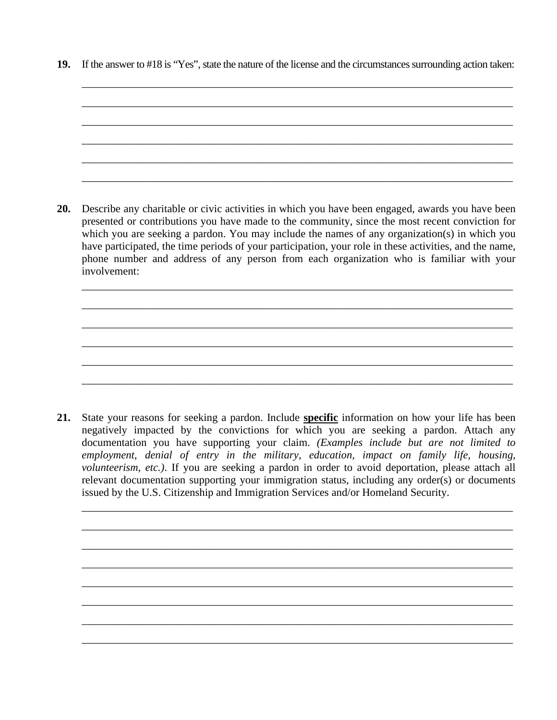**19.** If the answer to #18 is "Yes", state the nature of the license and the circumstances surrounding action taken:

\_\_\_\_\_\_\_\_\_\_\_\_\_\_\_\_\_\_\_\_\_\_\_\_\_\_\_\_\_\_\_\_\_\_\_\_\_\_\_\_\_\_\_\_\_\_\_\_\_\_\_\_\_\_\_\_\_\_\_\_\_\_\_\_\_\_\_\_\_\_\_\_\_\_\_\_\_\_\_



**20.** Describe any charitable or civic activities in which you have been engaged, awards you have been presented or contributions you have made to the community, since the most recent conviction for which you are seeking a pardon. You may include the names of any organization(s) in which you have participated, the time periods of your participation, your role in these activities, and the name, phone number and address of any person from each organization who is familiar with your involvement:

\_\_\_\_\_\_\_\_\_\_\_\_\_\_\_\_\_\_\_\_\_\_\_\_\_\_\_\_\_\_\_\_\_\_\_\_\_\_\_\_\_\_\_\_\_\_\_\_\_\_\_\_\_\_\_\_\_\_\_\_\_\_\_\_\_\_\_\_\_\_\_\_\_\_\_\_\_\_\_

\_\_\_\_\_\_\_\_\_\_\_\_\_\_\_\_\_\_\_\_\_\_\_\_\_\_\_\_\_\_\_\_\_\_\_\_\_\_\_\_\_\_\_\_\_\_\_\_\_\_\_\_\_\_\_\_\_\_\_\_\_\_\_\_\_\_\_\_\_\_\_\_\_\_\_\_\_\_\_

\_\_\_\_\_\_\_\_\_\_\_\_\_\_\_\_\_\_\_\_\_\_\_\_\_\_\_\_\_\_\_\_\_\_\_\_\_\_\_\_\_\_\_\_\_\_\_\_\_\_\_\_\_\_\_\_\_\_\_\_\_\_\_\_\_\_\_\_\_\_\_\_\_\_\_\_\_\_\_

\_\_\_\_\_\_\_\_\_\_\_\_\_\_\_\_\_\_\_\_\_\_\_\_\_\_\_\_\_\_\_\_\_\_\_\_\_\_\_\_\_\_\_\_\_\_\_\_\_\_\_\_\_\_\_\_\_\_\_\_\_\_\_\_\_\_\_\_\_\_\_\_\_\_\_\_\_\_\_

\_\_\_\_\_\_\_\_\_\_\_\_\_\_\_\_\_\_\_\_\_\_\_\_\_\_\_\_\_\_\_\_\_\_\_\_\_\_\_\_\_\_\_\_\_\_\_\_\_\_\_\_\_\_\_\_\_\_\_\_\_\_\_\_\_\_\_\_\_\_\_\_\_\_\_\_\_\_\_

\_\_\_\_\_\_\_\_\_\_\_\_\_\_\_\_\_\_\_\_\_\_\_\_\_\_\_\_\_\_\_\_\_\_\_\_\_\_\_\_\_\_\_\_\_\_\_\_\_\_\_\_\_\_\_\_\_\_\_\_\_\_\_\_\_\_\_\_\_\_\_\_\_\_\_\_\_\_\_

**21.** State your reasons for seeking a pardon. Include **specific** information on how your life has been negatively impacted by the convictions for which you are seeking a pardon. Attach any documentation you have supporting your claim. *(Examples include but are not limited to employment, denial of entry in the military, education, impact on family life, housing, volunteerism, etc.)*. If you are seeking a pardon in order to avoid deportation, please attach all relevant documentation supporting your immigration status, including any order(s) or documents issued by the U.S. Citizenship and Immigration Services and/or Homeland Security.

\_\_\_\_\_\_\_\_\_\_\_\_\_\_\_\_\_\_\_\_\_\_\_\_\_\_\_\_\_\_\_\_\_\_\_\_\_\_\_\_\_\_\_\_\_\_\_\_\_\_\_\_\_\_\_\_\_\_\_\_\_\_\_\_\_\_\_\_\_\_\_\_\_\_\_\_\_\_\_

\_\_\_\_\_\_\_\_\_\_\_\_\_\_\_\_\_\_\_\_\_\_\_\_\_\_\_\_\_\_\_\_\_\_\_\_\_\_\_\_\_\_\_\_\_\_\_\_\_\_\_\_\_\_\_\_\_\_\_\_\_\_\_\_\_\_\_\_\_\_\_\_\_\_\_\_\_\_\_

\_\_\_\_\_\_\_\_\_\_\_\_\_\_\_\_\_\_\_\_\_\_\_\_\_\_\_\_\_\_\_\_\_\_\_\_\_\_\_\_\_\_\_\_\_\_\_\_\_\_\_\_\_\_\_\_\_\_\_\_\_\_\_\_\_\_\_\_\_\_\_\_\_\_\_\_\_\_\_

\_\_\_\_\_\_\_\_\_\_\_\_\_\_\_\_\_\_\_\_\_\_\_\_\_\_\_\_\_\_\_\_\_\_\_\_\_\_\_\_\_\_\_\_\_\_\_\_\_\_\_\_\_\_\_\_\_\_\_\_\_\_\_\_\_\_\_\_\_\_\_\_\_\_\_\_\_\_\_

\_\_\_\_\_\_\_\_\_\_\_\_\_\_\_\_\_\_\_\_\_\_\_\_\_\_\_\_\_\_\_\_\_\_\_\_\_\_\_\_\_\_\_\_\_\_\_\_\_\_\_\_\_\_\_\_\_\_\_\_\_\_\_\_\_\_\_\_\_\_\_\_\_\_\_\_\_\_\_

\_\_\_\_\_\_\_\_\_\_\_\_\_\_\_\_\_\_\_\_\_\_\_\_\_\_\_\_\_\_\_\_\_\_\_\_\_\_\_\_\_\_\_\_\_\_\_\_\_\_\_\_\_\_\_\_\_\_\_\_\_\_\_\_\_\_\_\_\_\_\_\_\_\_\_\_\_\_\_

\_\_\_\_\_\_\_\_\_\_\_\_\_\_\_\_\_\_\_\_\_\_\_\_\_\_\_\_\_\_\_\_\_\_\_\_\_\_\_\_\_\_\_\_\_\_\_\_\_\_\_\_\_\_\_\_\_\_\_\_\_\_\_\_\_\_\_\_\_\_\_\_\_\_\_\_\_\_\_

\_\_\_\_\_\_\_\_\_\_\_\_\_\_\_\_\_\_\_\_\_\_\_\_\_\_\_\_\_\_\_\_\_\_\_\_\_\_\_\_\_\_\_\_\_\_\_\_\_\_\_\_\_\_\_\_\_\_\_\_\_\_\_\_\_\_\_\_\_\_\_\_\_\_\_\_\_\_\_